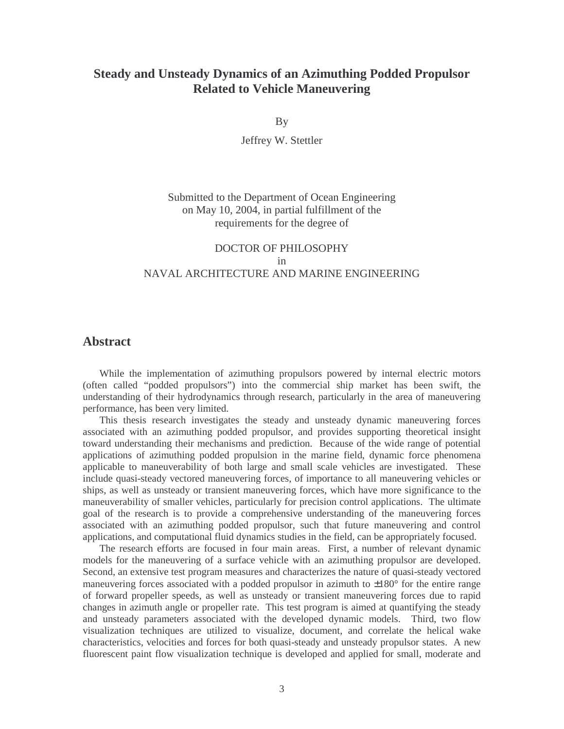## **Steady and Unsteady Dynamics of an Azimuthing Podded Propulsor Related to Vehicle Maneuvering**

By

Jeffrey W. Stettler

Submitted to the Department of Ocean Engineering on May 10, 2004, in partial fulfillment of the requirements for the degree of

## DOCTOR OF PHILOSOPHY in NAVAL ARCHITECTURE AND MARINE ENGINEERING

## **Abstract**

 While the implementation of azimuthing propulsors powered by internal electric motors (often called "podded propulsors") into the commercial ship market has been swift, the understanding of their hydrodynamics through research, particularly in the area of maneuvering performance, has been very limited.

 This thesis research investigates the steady and unsteady dynamic maneuvering forces associated with an azimuthing podded propulsor, and provides supporting theoretical insight toward understanding their mechanisms and prediction. Because of the wide range of potential applications of azimuthing podded propulsion in the marine field, dynamic force phenomena applicable to maneuverability of both large and small scale vehicles are investigated. These include quasi-steady vectored maneuvering forces, of importance to all maneuvering vehicles or ships, as well as unsteady or transient maneuvering forces, which have more significance to the maneuverability of smaller vehicles, particularly for precision control applications. The ultimate goal of the research is to provide a comprehensive understanding of the maneuvering forces associated with an azimuthing podded propulsor, such that future maneuvering and control applications, and computational fluid dynamics studies in the field, can be appropriately focused.

 The research efforts are focused in four main areas. First, a number of relevant dynamic models for the maneuvering of a surface vehicle with an azimuthing propulsor are developed. Second, an extensive test program measures and characterizes the nature of quasi-steady vectored maneuvering forces associated with a podded propulsor in azimuth to  $\pm 180^\circ$  for the entire range of forward propeller speeds, as well as unsteady or transient maneuvering forces due to rapid changes in azimuth angle or propeller rate. This test program is aimed at quantifying the steady and unsteady parameters associated with the developed dynamic models. Third, two flow visualization techniques are utilized to visualize, document, and correlate the helical wake characteristics, velocities and forces for both quasi-steady and unsteady propulsor states. A new fluorescent paint flow visualization technique is developed and applied for small, moderate and